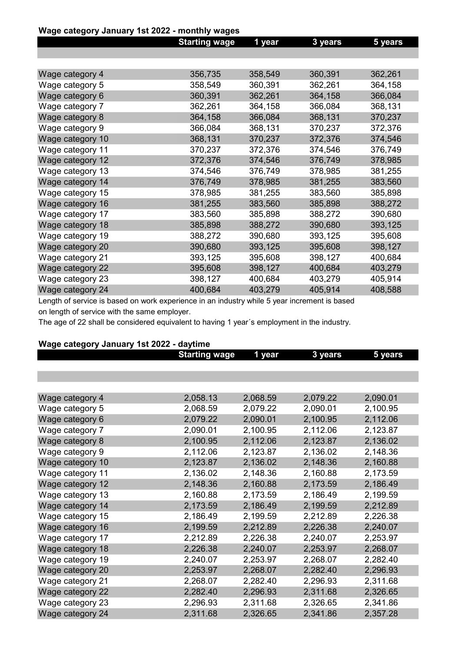# Wage category January 1st 2022 - monthly wages

|         |                      |         | 5 years |
|---------|----------------------|---------|---------|
|         |                      |         |         |
|         |                      |         |         |
| 356,735 | 358,549              | 360,391 | 362,261 |
| 358,549 | 360,391              | 362,261 | 364,158 |
| 360,391 | 362,261              | 364,158 | 366,084 |
| 362,261 | 364,158              | 366,084 | 368,131 |
| 364,158 | 366,084              | 368,131 | 370,237 |
| 366,084 | 368,131              | 370,237 | 372,376 |
| 368,131 | 370,237              | 372,376 | 374,546 |
| 370,237 | 372,376              | 374,546 | 376,749 |
| 372,376 | 374,546              | 376,749 | 378,985 |
| 374,546 | 376,749              | 378,985 | 381,255 |
| 376,749 | 378,985              | 381,255 | 383,560 |
| 378,985 | 381,255              | 383,560 | 385,898 |
| 381,255 | 383,560              | 385,898 | 388,272 |
| 383,560 | 385,898              | 388,272 | 390,680 |
| 385,898 | 388,272              | 390,680 | 393,125 |
| 388,272 | 390,680              | 393,125 | 395,608 |
| 390,680 | 393,125              | 395,608 | 398,127 |
| 393,125 | 395,608              | 398,127 | 400,684 |
| 395,608 | 398,127              | 400,684 | 403,279 |
| 398,127 | 400,684              | 403,279 | 405,914 |
| 400,684 | 403,279              | 405,914 | 408,588 |
|         | <b>Starting wage</b> | 1 year  | 3 years |

Length of service is based on work experience in an industry while 5 year increment is based on length of service with the same employer.

The age of 22 shall be considered equivalent to having 1 year´s employment in the industry.

| waye calegory January TSL ZUZZ - daytime |                      |          |          |          |
|------------------------------------------|----------------------|----------|----------|----------|
|                                          | <b>Starting wage</b> | 1 year   | 3 years  | 5 years  |
|                                          |                      |          |          |          |
|                                          |                      |          |          |          |
|                                          |                      |          |          |          |
| Wage category 4                          | 2,058.13             | 2,068.59 | 2,079.22 | 2,090.01 |
| Wage category 5                          | 2,068.59             | 2,079.22 | 2,090.01 | 2,100.95 |
| Wage category 6                          | 2,079.22             | 2,090.01 | 2,100.95 | 2,112.06 |
| Wage category 7                          | 2,090.01             | 2,100.95 | 2,112.06 | 2,123.87 |
| Wage category 8                          | 2,100.95             | 2,112.06 | 2,123.87 | 2,136.02 |
| Wage category 9                          | 2,112.06             | 2,123.87 | 2,136.02 | 2,148.36 |
| Wage category 10                         | 2,123.87             | 2,136.02 | 2,148.36 | 2,160.88 |
| Wage category 11                         | 2,136.02             | 2,148.36 | 2,160.88 | 2,173.59 |
| Wage category 12                         | 2,148.36             | 2,160.88 | 2,173.59 | 2,186.49 |
| Wage category 13                         | 2,160.88             | 2,173.59 | 2,186.49 | 2,199.59 |
| Wage category 14                         | 2,173.59             | 2,186.49 | 2,199.59 | 2,212.89 |
| Wage category 15                         | 2,186.49             | 2,199.59 | 2,212.89 | 2,226.38 |
| Wage category 16                         | 2,199.59             | 2,212.89 | 2,226.38 | 2,240.07 |
| Wage category 17                         | 2,212.89             | 2,226.38 | 2,240.07 | 2,253.97 |
| Wage category 18                         | 2,226.38             | 2,240.07 | 2,253.97 | 2,268.07 |
| Wage category 19                         | 2,240.07             | 2,253.97 | 2,268.07 | 2,282.40 |
| Wage category 20                         | 2,253.97             | 2,268.07 | 2,282.40 | 2,296.93 |
| Wage category 21                         | 2,268.07             | 2,282.40 | 2,296.93 | 2,311.68 |
| Wage category 22                         | 2,282.40             | 2,296.93 | 2,311.68 | 2,326.65 |
| Wage category 23                         | 2,296.93             | 2,311.68 | 2,326.65 | 2,341.86 |
| Wage category 24                         | 2,311.68             | 2,326.65 | 2,341.86 | 2,357.28 |

# Wage category January 1st 2022 - daytime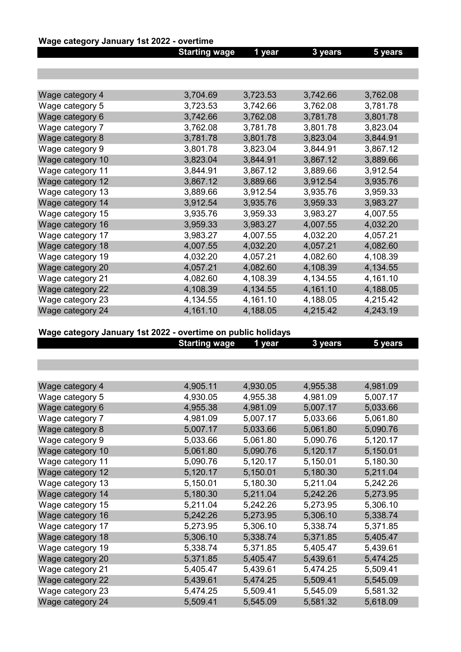# Wage category January 1st 2022 - overtime

|                  | <b>Starting wage</b> | 1 year   | 3 years  | 5 years  |
|------------------|----------------------|----------|----------|----------|
|                  |                      |          |          |          |
|                  |                      |          |          |          |
|                  |                      |          |          |          |
| Wage category 4  | 3,704.69             | 3,723.53 | 3,742.66 | 3,762.08 |
| Wage category 5  | 3,723.53             | 3,742.66 | 3,762.08 | 3,781.78 |
| Wage category 6  | 3,742.66             | 3,762.08 | 3,781.78 | 3,801.78 |
| Wage category 7  | 3,762.08             | 3,781.78 | 3,801.78 | 3,823.04 |
| Wage category 8  | 3,781.78             | 3,801.78 | 3,823.04 | 3,844.91 |
| Wage category 9  | 3,801.78             | 3,823.04 | 3,844.91 | 3,867.12 |
| Wage category 10 | 3,823.04             | 3,844.91 | 3,867.12 | 3,889.66 |
| Wage category 11 | 3,844.91             | 3,867.12 | 3,889.66 | 3,912.54 |
| Wage category 12 | 3,867.12             | 3,889.66 | 3,912.54 | 3,935.76 |
| Wage category 13 | 3,889.66             | 3,912.54 | 3,935.76 | 3,959.33 |
| Wage category 14 | 3,912.54             | 3,935.76 | 3,959.33 | 3,983.27 |
| Wage category 15 | 3,935.76             | 3,959.33 | 3,983.27 | 4,007.55 |
| Wage category 16 | 3,959.33             | 3,983.27 | 4,007.55 | 4,032.20 |
| Wage category 17 | 3,983.27             | 4,007.55 | 4,032.20 | 4,057.21 |
| Wage category 18 | 4,007.55             | 4,032.20 | 4,057.21 | 4,082.60 |
| Wage category 19 | 4,032.20             | 4,057.21 | 4,082.60 | 4,108.39 |
| Wage category 20 | 4,057.21             | 4,082.60 | 4,108.39 | 4,134.55 |
| Wage category 21 | 4,082.60             | 4,108.39 | 4,134.55 | 4,161.10 |
| Wage category 22 | 4,108.39             | 4,134.55 | 4,161.10 | 4,188.05 |
| Wage category 23 | 4,134.55             | 4,161.10 | 4,188.05 | 4,215.42 |
| Wage category 24 | 4,161.10             | 4,188.05 | 4,215.42 | 4,243.19 |

# Wage category January 1st 2022 - overtime on public holidays

|                  | <b>Starting wage</b> | 1 year   | 3 years  | 5 years  |
|------------------|----------------------|----------|----------|----------|
|                  |                      |          |          |          |
|                  |                      |          |          |          |
|                  |                      |          |          |          |
| Wage category 4  | 4,905.11             | 4,930.05 | 4,955.38 | 4,981.09 |
| Wage category 5  | 4,930.05             | 4,955.38 | 4,981.09 | 5,007.17 |
| Wage category 6  | 4,955.38             | 4,981.09 | 5,007.17 | 5,033.66 |
| Wage category 7  | 4,981.09             | 5,007.17 | 5,033.66 | 5,061.80 |
| Wage category 8  | 5,007.17             | 5,033.66 | 5,061.80 | 5,090.76 |
| Wage category 9  | 5,033.66             | 5,061.80 | 5,090.76 | 5,120.17 |
| Wage category 10 | 5,061.80             | 5,090.76 | 5,120.17 | 5,150.01 |
| Wage category 11 | 5,090.76             | 5,120.17 | 5,150.01 | 5,180.30 |
| Wage category 12 | 5,120.17             | 5,150.01 | 5,180.30 | 5,211.04 |
| Wage category 13 | 5,150.01             | 5,180.30 | 5,211.04 | 5,242.26 |
| Wage category 14 | 5,180.30             | 5,211.04 | 5,242.26 | 5,273.95 |
| Wage category 15 | 5,211.04             | 5,242.26 | 5,273.95 | 5,306.10 |
| Wage category 16 | 5,242.26             | 5,273.95 | 5,306.10 | 5,338.74 |
| Wage category 17 | 5,273.95             | 5,306.10 | 5,338.74 | 5,371.85 |
| Wage category 18 | 5,306.10             | 5,338.74 | 5,371.85 | 5,405.47 |
| Wage category 19 | 5,338.74             | 5,371.85 | 5,405.47 | 5,439.61 |
| Wage category 20 | 5,371.85             | 5,405.47 | 5,439.61 | 5,474.25 |
| Wage category 21 | 5,405.47             | 5,439.61 | 5,474.25 | 5,509.41 |
| Wage category 22 | 5,439.61             | 5,474.25 | 5,509.41 | 5,545.09 |
| Wage category 23 | 5,474.25             | 5,509.41 | 5,545.09 | 5,581.32 |
| Wage category 24 | 5,509.41             | 5,545.09 | 5,581.32 | 5,618.09 |
|                  |                      |          |          |          |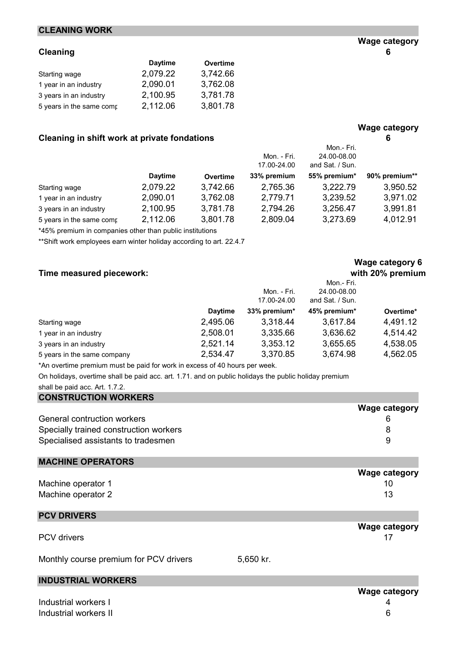# CLEANING WORK

|                          | <b>Daytime</b> | Overtime |
|--------------------------|----------------|----------|
| Starting wage            | 2,079.22       | 3,742.66 |
| 1 year in an industry    | 2,090.01       | 3,762.08 |
| 3 years in an industry   | 2,100.95       | 3,781.78 |
| 5 years in the same comp | 2,112.06       | 3,801.78 |

# Cleaning in shift work at private fondations **6** 6

|                          |                |          | Mon. - Fri.<br>17.00-24.00 | Mon.- Fri.<br>24.00-08.00<br>and Sat. / Sun. |               |
|--------------------------|----------------|----------|----------------------------|----------------------------------------------|---------------|
|                          | <b>Daytime</b> | Overtime | 33% premium                | 55% premium*                                 | 90% premium** |
| Starting wage            | 2,079.22       | 3,742.66 | 2,765.36                   | 3,222.79                                     | 3,950.52      |
| 1 year in an industry    | 2,090.01       | 3,762.08 | 2,779.71                   | 3,239.52                                     | 3,971.02      |
| 3 years in an industry   | 2,100.95       | 3,781.78 | 2,794.26                   | 3,256.47                                     | 3,991.81      |
| 5 years in the same comp | 2,112.06       | 3,801.78 | 2,809.04                   | 3,273.69                                     | 4,012.91      |

\*45% premium in companies other than public institutions

\*\*Shift work employees earn winter holiday according to art. 22.4.7

# Time measured piecework: with 20% premium

|                             |                |              | Mon.- Fri.      |           |
|-----------------------------|----------------|--------------|-----------------|-----------|
|                             |                | Mon. - Fri.  | 24.00-08.00     |           |
|                             |                | 17.00-24.00  | and Sat. / Sun. |           |
|                             | <b>Daytime</b> | 33% premium* | 45% premium*    | Overtime* |
| Starting wage               | 2,495.06       | 3,318.44     | 3,617.84        | 4,491.12  |
| 1 year in an industry       | 2,508.01       | 3,335.66     | 3,636.62        | 4,514.42  |
| 3 years in an industry      | 2,521.14       | 3,353.12     | 3,655.65        | 4,538.05  |
| 5 years in the same company | 2,534.47       | 3,370.85     | 3,674.98        | 4,562.05  |

\*An overtime premium must be paid for work in excess of 40 hours per week.

On holidays, overtime shall be paid acc. art. 1.71. and on public holidays the public holiday premium

| shall be paid acc. Art. 1.7.2. |  |  |  |  |
|--------------------------------|--|--|--|--|
|--------------------------------|--|--|--|--|

| <b>CONSTRUCTION WORKERS</b>            |                      |
|----------------------------------------|----------------------|
|                                        | <b>Wage category</b> |
| General contruction workers            | 6                    |
| Specially trained construction workers | 8                    |
| Specialised assistants to tradesmen    | 9                    |
| <b>MACHINE OPERATORS</b>               |                      |
|                                        | <b>Wage category</b> |
| Machine operator 1                     | 10                   |
| Machine operator 2                     | 13                   |
| <b>PCV DRIVERS</b>                     |                      |
|                                        | <b>Wage category</b> |
| <b>PCV</b> drivers                     |                      |

Monthly course premium for PCV drivers 5,650 kr.

# INDUSTRIAL WORKERS

Industrial workers I 4 Industrial workers II 6

# Wage category 6

Wage category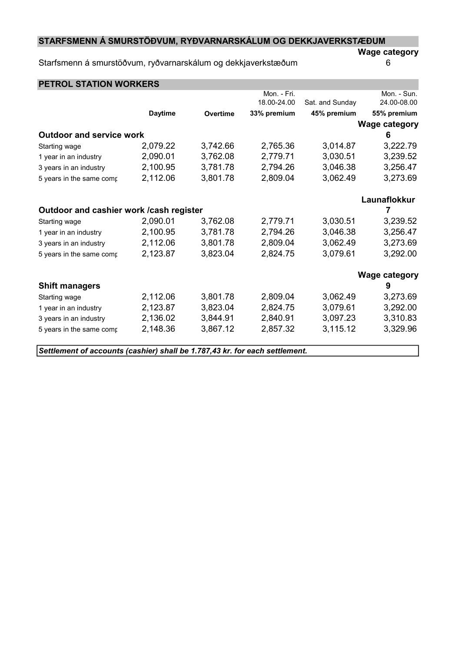# STARFSMENN Á SMURSTÖÐVUM, RYÐVARNARSKÁLUM OG DEKKJAVERKSTÆÐUM

# Starfsmenn á smurstöðvum, ryðvarnarskálum og dekkjaverkstæðum 6

Wage category

| <b>PETROL STATION WORKERS</b>                                               |                |                 |             |                 |                      |
|-----------------------------------------------------------------------------|----------------|-----------------|-------------|-----------------|----------------------|
|                                                                             |                |                 | Mon. - Fri. |                 | Mon. - Sun.          |
|                                                                             |                |                 | 18.00-24.00 | Sat. and Sunday | 24.00-08.00          |
|                                                                             | <b>Daytime</b> | <b>Overtime</b> | 33% premium | 45% premium     | 55% premium          |
|                                                                             |                |                 |             |                 | <b>Wage category</b> |
| <b>Outdoor and service work</b>                                             |                |                 |             |                 | 6                    |
| Starting wage                                                               | 2,079.22       | 3,742.66        | 2,765.36    | 3,014.87        | 3,222.79             |
| 1 year in an industry                                                       | 2,090.01       | 3,762.08        | 2,779.71    | 3,030.51        | 3,239.52             |
| 3 years in an industry                                                      | 2,100.95       | 3,781.78        | 2,794.26    | 3,046.38        | 3,256.47             |
| 5 years in the same comp                                                    | 2,112.06       | 3,801.78        | 2,809.04    | 3,062.49        | 3,273.69             |
|                                                                             |                |                 |             |                 | Launaflokkur         |
| Outdoor and cashier work / cash register                                    |                |                 |             |                 | 7                    |
| Starting wage                                                               | 2,090.01       | 3,762.08        | 2,779.71    | 3,030.51        | 3,239.52             |
| 1 year in an industry                                                       | 2,100.95       | 3,781.78        | 2,794.26    | 3,046.38        | 3,256.47             |
| 3 years in an industry                                                      | 2,112.06       | 3,801.78        | 2,809.04    | 3,062.49        | 3,273.69             |
| 5 years in the same comp                                                    | 2,123.87       | 3,823.04        | 2,824.75    | 3,079.61        | 3,292.00             |
|                                                                             |                |                 |             |                 | <b>Wage category</b> |
| <b>Shift managers</b>                                                       |                |                 |             |                 | 9                    |
| Starting wage                                                               | 2,112.06       | 3,801.78        | 2,809.04    | 3,062.49        | 3,273.69             |
| 1 year in an industry                                                       | 2,123.87       | 3,823.04        | 2,824.75    | 3,079.61        | 3,292.00             |
| 3 years in an industry                                                      | 2,136.02       | 3,844.91        | 2,840.91    | 3,097.23        | 3,310.83             |
| 5 years in the same comp                                                    | 2,148.36       | 3,867.12        | 2,857.32    | 3,115.12        | 3,329.96             |
| Settlement of accounts (cashier) shall be 1.787,43 kr. for each settlement. |                |                 |             |                 |                      |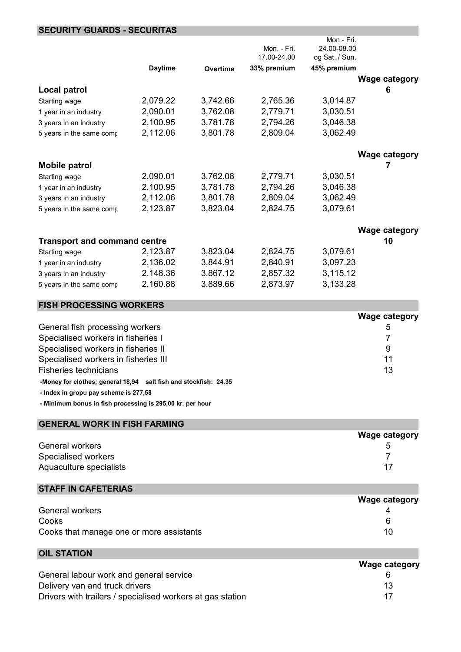# SECURITY GUARDS - SECURITAS

|                                     |                |          |             | Mon.- Fri.     |                      |
|-------------------------------------|----------------|----------|-------------|----------------|----------------------|
|                                     |                |          | Mon. - Fri. | 24.00-08.00    |                      |
|                                     |                |          | 17.00-24.00 | og Sat. / Sun. |                      |
|                                     | <b>Daytime</b> | Overtime | 33% premium | 45% premium    |                      |
|                                     |                |          |             |                | <b>Wage category</b> |
| Local patrol                        |                |          |             |                | 6                    |
| Starting wage                       | 2,079.22       | 3,742.66 | 2,765.36    | 3,014.87       |                      |
| 1 year in an industry               | 2,090.01       | 3,762.08 | 2,779.71    | 3,030.51       |                      |
| 3 years in an industry              | 2,100.95       | 3,781.78 | 2,794.26    | 3,046.38       |                      |
| 5 years in the same comp            | 2,112.06       | 3,801.78 | 2,809.04    | 3,062.49       |                      |
|                                     |                |          |             |                | <b>Wage category</b> |
| <b>Mobile patrol</b>                |                |          |             |                | 7                    |
| Starting wage                       | 2,090.01       | 3,762.08 | 2,779.71    | 3,030.51       |                      |
| 1 year in an industry               | 2,100.95       | 3,781.78 | 2,794.26    | 3,046.38       |                      |
| 3 years in an industry              | 2,112.06       | 3,801.78 | 2,809.04    | 3,062.49       |                      |
| 5 years in the same comp            | 2,123.87       | 3,823.04 | 2,824.75    | 3,079.61       |                      |
|                                     |                |          |             |                | <b>Wage category</b> |
| <b>Transport and command centre</b> |                |          |             |                | 10                   |
| Starting wage                       | 2,123.87       | 3,823.04 | 2,824.75    | 3,079.61       |                      |
| 1 year in an industry               | 2,136.02       | 3,844.91 | 2,840.91    | 3,097.23       |                      |
| 3 years in an industry              | 2,148.36       | 3,867.12 | 2,857.32    | 3,115.12       |                      |
| 5 years in the same comp            | 2,160.88       | 3,889.66 | 2,873.97    | 3,133.28       |                      |
| <b>FISH PROCESSING WORKERS</b>      |                |          |             |                |                      |
|                                     |                |          |             |                | <b>Wage category</b> |
| General fish processing workers     |                |          |             |                | 5                    |
| Specialised workers in fisheries I  |                |          |             |                | 7                    |
| Specialised workers in fisheries II |                |          |             |                | 9                    |

| Specialised workers in fisheries II  |  |
|--------------------------------------|--|
| Specialised workers in fisheries III |  |
| Fisheries technicians                |  |
|                                      |  |

-Money for clothes; general 18,94 salt fish and stockfish: 24,35

- Index in gropu pay scheme is 277,58

- Minimum bonus in fish processing is 295,00 kr. per hour

| <b>GENERAL WORK IN FISH FARMING</b> |                      |  |  |  |
|-------------------------------------|----------------------|--|--|--|
|                                     | <b>Wage category</b> |  |  |  |
| <b>General workers</b>              | 5                    |  |  |  |
| Specialised workers                 |                      |  |  |  |
| Aquaculture specialists             | 17                   |  |  |  |

# STAFF IN CAFETERIAS

|                                          | <b>Wage category</b> |
|------------------------------------------|----------------------|
| General workers                          |                      |
| Cooks                                    |                      |
| Cooks that manage one or more assistants | 10                   |

| <b>OIL STATION</b>                                         |                      |
|------------------------------------------------------------|----------------------|
|                                                            | <b>Wage category</b> |
| General labour work and general service                    |                      |
| Delivery van and truck drivers                             | 13                   |
| Drivers with trailers / specialised workers at gas station | 17                   |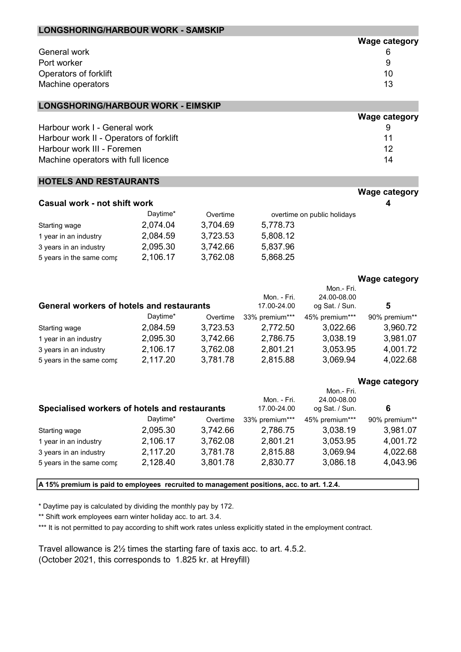| LONGSHORING/HARBOUR WORK - SAMSKIP |                      |
|------------------------------------|----------------------|
|                                    | <b>Wage category</b> |
| General work                       |                      |
| Port worker                        | 9                    |
| Operators of forklift              | 10                   |
| Machine operators                  | 13                   |

#### LONGSHORING/HARBOUR WORK - EIMSKIP

|                                         | <b><i>vvage category</i></b> |
|-----------------------------------------|------------------------------|
| Harbour work I - General work           |                              |
| Harbour work II - Operators of forklift | 11                           |
| Harbour work III - Foremen              | 12                           |
| Machine operators with full licence     | 14                           |

#### HOTELS AND RESTAURANTS

| Casual work - not shift work<br>4 |          |          |                             |  |  |  |
|-----------------------------------|----------|----------|-----------------------------|--|--|--|
|                                   | Daytime* | Overtime | overtime on public holidays |  |  |  |
| Starting wage                     | 2,074.04 | 3,704.69 | 5,778.73                    |  |  |  |
| 1 year in an industry             | 2,084.59 | 3,723.53 | 5,808.12                    |  |  |  |
| 3 years in an industry            | 2,095.30 | 3,742.66 | 5,837.96                    |  |  |  |
| 5 years in the same comp          | 2,106.17 | 3,762.08 | 5,868.25                    |  |  |  |

#### Wage category

Wage category

 $M = 1$ 

|                                                  |          |          | Mon. - Fri.    | Mon.- Fri.<br>24.00-08.00 |               |
|--------------------------------------------------|----------|----------|----------------|---------------------------|---------------|
| <b>General workers of hotels and restaurants</b> |          |          | 17.00-24.00    | og Sat. / Sun.            | 5             |
|                                                  | Daytime* | Overtime | 33% premium*** | 45% premium***            | 90% premium** |
| Starting wage                                    | 2,084.59 | 3,723.53 | 2,772.50       | 3,022.66                  | 3,960.72      |
| 1 year in an industry                            | 2,095.30 | 3,742.66 | 2,786.75       | 3,038.19                  | 3,981.07      |
| 3 years in an industry                           | 2,106.17 | 3,762.08 | 2,801.21       | 3,053.95                  | 4,001.72      |
| 5 years in the same comp                         | 2,117.20 | 3,781.78 | 2,815.88       | 3,069.94                  | 4,022.68      |

# Wage category

|                                               |          |          |                            | Mon.- Fri.                    | . .           |
|-----------------------------------------------|----------|----------|----------------------------|-------------------------------|---------------|
| Specialised workers of hotels and restaurants |          |          | Mon. - Fri.<br>17.00-24.00 | 24.00-08.00<br>og Sat. / Sun. | 6             |
|                                               | Daytime* | Overtime | 33% premium***             | 45% premium***                | 90% premium** |
| Starting wage                                 | 2,095.30 | 3,742.66 | 2,786.75                   | 3,038.19                      | 3,981.07      |
| 1 year in an industry                         | 2,106.17 | 3,762.08 | 2,801.21                   | 3,053.95                      | 4,001.72      |
| 3 years in an industry                        | 2,117.20 | 3,781.78 | 2,815.88                   | 3,069.94                      | 4,022.68      |
| 5 years in the same comp                      | 2,128.40 | 3,801.78 | 2,830.77                   | 3,086.18                      | 4,043.96      |

A 15% premium is paid to employees recruited to management positions, acc. to art. 1.2.4.

\* Daytime pay is calculated by dividing the monthly pay by 172.

\*\* Shift work employees earn winter holiday acc. to art. 3.4.

\*\*\* It is not permitted to pay according to shift work rates unless explicitly stated in the employment contract.

Travel allowance is 2½ times the starting fare of taxis acc. to art. 4.5.2. (October 2021, this corresponds to 1.825 kr. at Hreyfill)